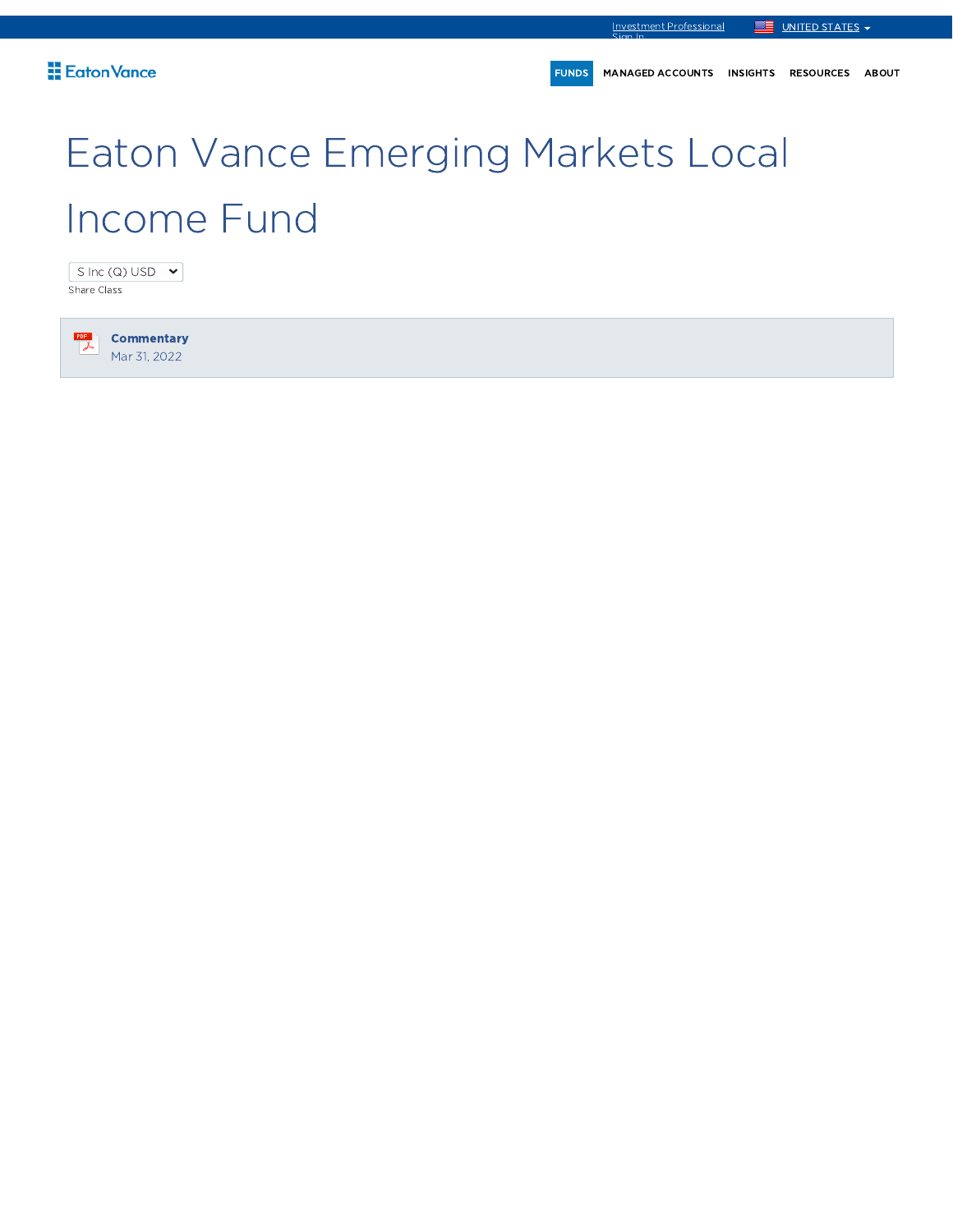FUNDS MANAGED ACCOUNTS INSIGHTS RESOURCES ABOUT

# Eaton Vance Emerging Markets Local Income Fund

S Inc (Q) USD  $\rightarrow$ Share Class

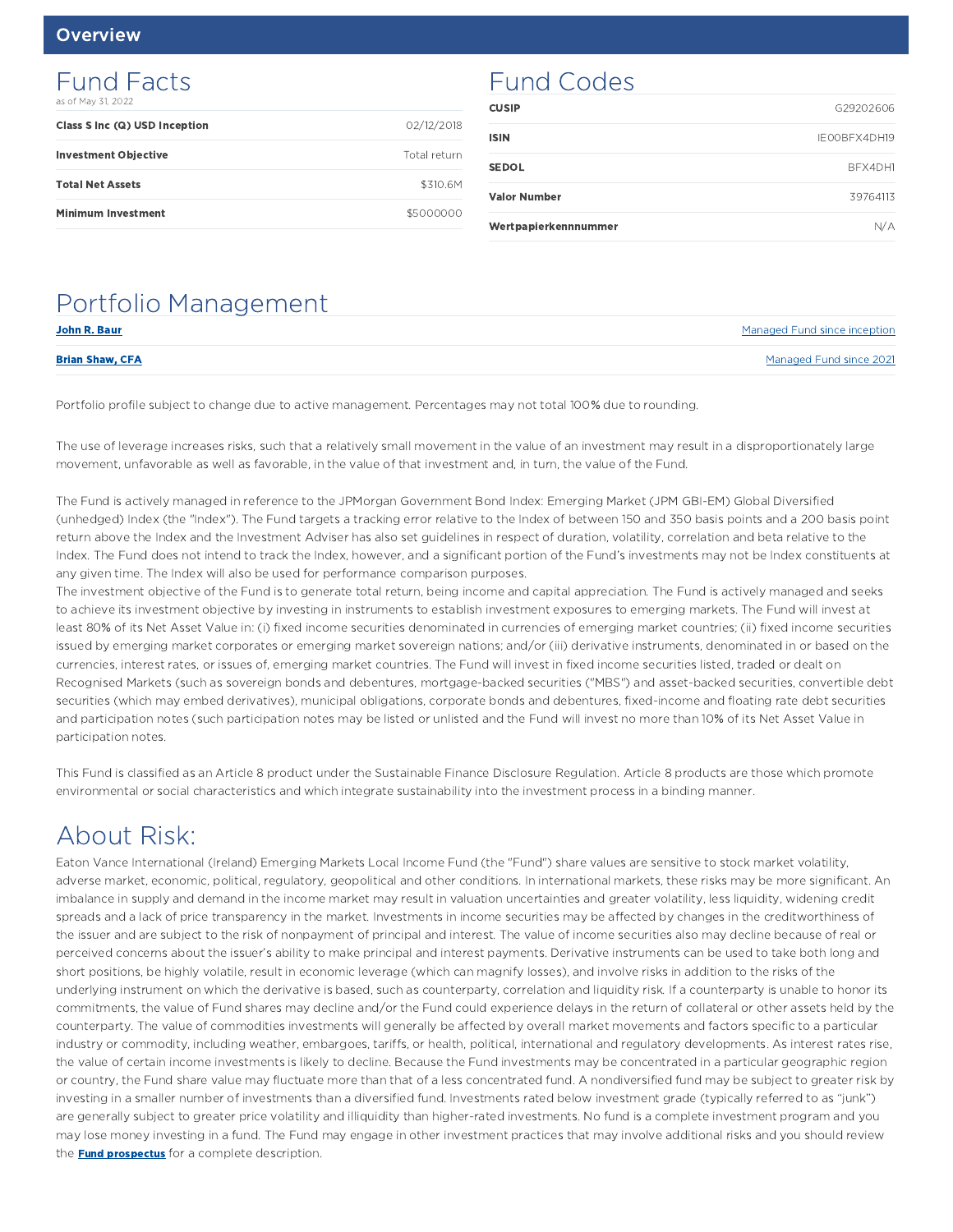### Fund Facts as of May 31, 2022

| Class S Inc (Q) USD Inception | 02/12/2018   |
|-------------------------------|--------------|
| <b>Investment Objective</b>   | Total return |
| <b>Total Net Assets</b>       | \$310.6M     |
| <b>Minimum Investment</b>     | \$5000000    |

# Fund Codes

| Wertpapierkennnummer | N/A          |
|----------------------|--------------|
| <b>Valor Number</b>  | 39764113     |
| <b>SEDOL</b>         | BFX4DH1      |
| <b>ISIN</b>          | IEOOBFX4DH19 |
| <b>CUSIP</b>         | G29202606    |

# Portfolio Management

| John R. Baur           | Managed Fund since inception |
|------------------------|------------------------------|
| <b>Brian Shaw, CFA</b> | Managed Fund since 2021      |

Portfolio profile subject to change due to active management. Percentages may not total 100% due to rounding.

The use of leverage increases risks, such that a relatively small movement in the value of an investment may result in a disproportionately large movement, unfavorable as well as favorable, in the value of that investment and, in turn, the value of the Fund.

The Fund is actively managed in reference to the JPMorgan Government Bond Index: Emerging Market (JPM GBI-EM) Global Diversified (unhedged) Index (the "Index"). The Fund targets a tracking error relative to the Index of between 150 and 350 basis points and a 200 basis point return above the Index and the Investment Adviser has also set guidelines in respect of duration, volatility, correlation and beta relative to the Index. The Fund does not intend to track the Index, however, and a significant portion of the Fund's investments may not be Index constituents at any given time. The Index will also be used for performance comparison purposes.

The investment objective of the Fund is to generate total return, being income and capital appreciation. The Fund is actively managed and seeks to achieve its investment objective by investing in instruments to establish investment exposures to emerging markets. The Fund will invest at least 80% of its Net Asset Value in: (i) fixed income securities denominated in currencies of emerging market countries; (ii) fixed income securities issued by emerging market corporates or emerging market sovereign nations; and/or (iii) derivative instruments, denominated in or based on the currencies, interest rates, or issues of, emerging market countries. The Fund will invest in fixed income securities listed, traded or dealt on Recognised Markets (such as sovereign bonds and debentures, mortgage-backed securities ("MBS") and asset-backed securities, convertible debt securities (which may embed derivatives), municipal obligations, corporate bonds and debentures, fixed-income and floating rate debt securities and participation notes (such participation notes may be listed or unlisted and the Fund will invest no more than 10% of its Net Asset Value in participation notes.

This Fund is classified as an Article 8 product under the Sustainable Finance Disclosure Regulation. Article 8 products are those which promote environmental or social characteristics and which integrate sustainability into the investment process in a binding manner.

# About Risk:

Eaton Vance International (Ireland) Emerging Markets Local Income Fund (the "Fund") share values are sensitive to stock market volatility, adverse market, economic, political, regulatory, geopolitical and other conditions. In international markets, these risks may be more significant. An imbalance in supply and demand in the income market may result in valuation uncertainties and greater volatility, less liquidity, widening credit spreads and a lack of price transparency in the market. Investments in income securities may be affected by changes in the creditworthiness of the issuer and are subject to the risk of nonpayment of principal and interest. The value of income securities also may decline because of real or perceived concerns about the issuer's ability to make principal and interest payments. Derivative instruments can be used to take both long and short positions, be highly volatile, result in economic leverage (which can magnify losses), and involve risks in addition to the risks of the underlying instrument on which the derivative is based, such as counterparty, correlation and liquidity risk. If a counterparty is unable to honor its commitments, the value of Fund shares may decline and/or the Fund could experience delays in the return of collateral or other assets held by the counterparty. The value of commodities investments will generally be affected by overall market movements and factors specific to a particular industry or commodity, including weather, embargoes, tariffs, or health, political, international and regulatory developments. As interest rates rise, the value of certain income investments is likely to decline. Because the Fund investments may be concentrated in a particular geographic region or country, the Fund share value may fluctuate more than that of a less concentrated fund. A nondiversified fund may be subject to greater risk by investing in a smaller number of investments than a diversified fund. Investments rated below investment grade (typically referred to as "junk") are generally subject to greater price volatility and illiquidity than higher-rated investments. No fund is a complete investment program and you may lose money investing in a fund. The Fund may engage in other investment practices that may involve additional risks and you should review the **Fund prospectus** for a complete description.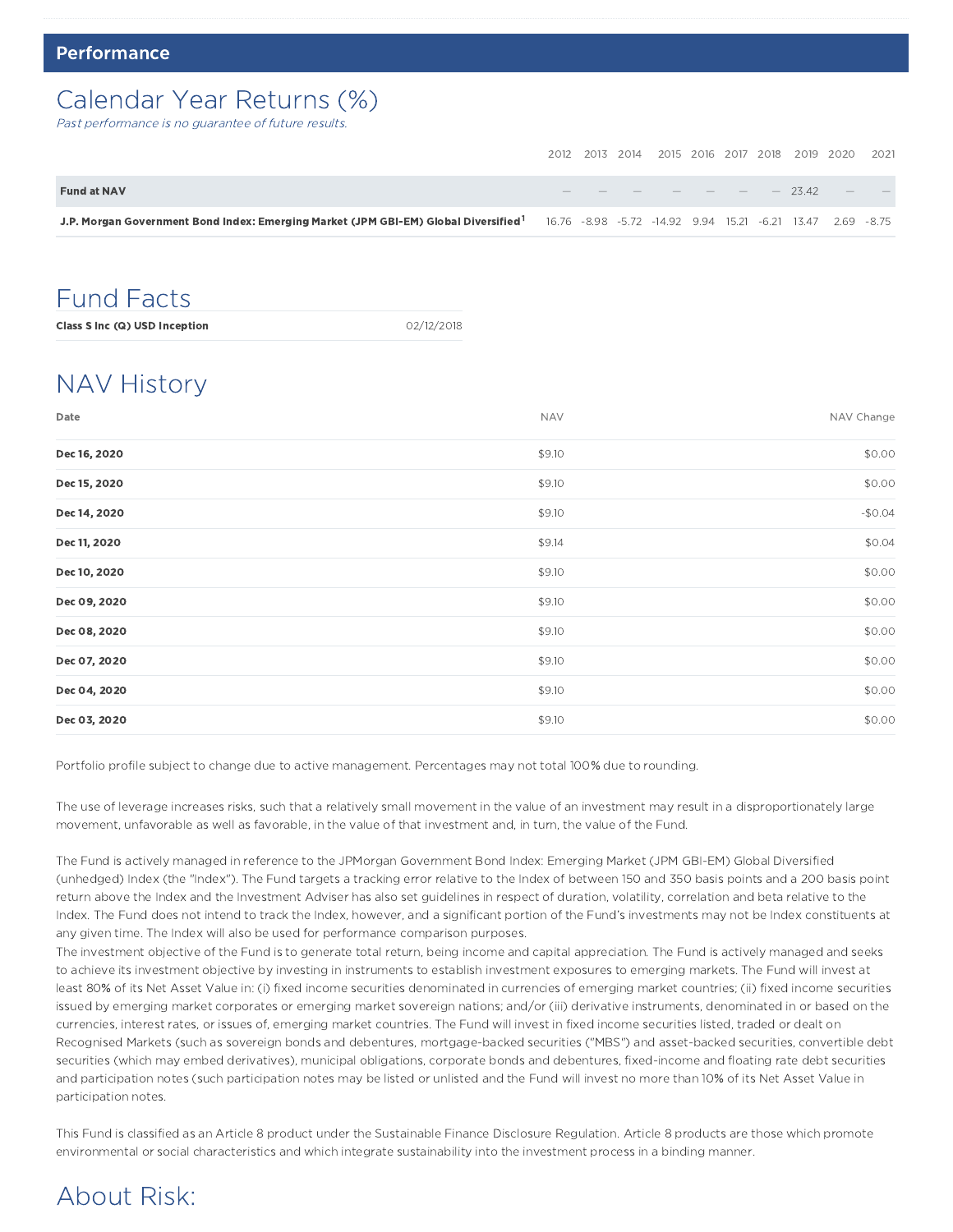# Calendar Year Returns (%)

Past performance is no guarantee of future results.

|                                                                                                                                                            |  |  |  |  | 2012 2013 2014 2015 2016 2017 2018 2019 2020 2021 |            |
|------------------------------------------------------------------------------------------------------------------------------------------------------------|--|--|--|--|---------------------------------------------------|------------|
| <b>Fund at NAV</b>                                                                                                                                         |  |  |  |  | $       -$ 23.42 $-$                              | $\sim$ $-$ |
| J.P. Morgan Government Bond Index: Emerging Market (JPM GBI-EM) Global Diversified <sup>1</sup> 16.76 -8.98 -5.72 -14.92 9.94 15.21 -6.21 13.47 2.69 -8.75 |  |  |  |  |                                                   |            |

# Fund Facts

Class S Inc (Q) USD Inception 02/12/2018

# NAV History

| Date         | <b>NAV</b> | NAV Change |
|--------------|------------|------------|
| Dec 16, 2020 | \$9.10     | \$0.00     |
| Dec 15, 2020 | \$9.10     | \$0.00     |
| Dec 14, 2020 | \$9.10     | $-$0.04$   |
| Dec 11, 2020 | \$9.14     | \$0.04     |
| Dec 10, 2020 | \$9.10     | \$0.00     |
| Dec 09, 2020 | \$9.10     | \$0.00     |
| Dec 08, 2020 | \$9.10     | \$0.00     |
| Dec 07, 2020 | \$9.10     | \$0.00     |
| Dec 04, 2020 | \$9.10     | \$0.00     |
| Dec 03, 2020 | \$9.10     | \$0.00     |

Portfolio profile subject to change due to active management. Percentages may not total 100% due to rounding.

The use of leverage increases risks, such that a relatively small movement in the value of an investment may result in a disproportionately large movement, unfavorable as well as favorable, in the value of that investment and, in turn, the value of the Fund.

The Fund is actively managed in reference to the JPMorgan Government Bond Index: Emerging Market (JPM GBI-EM) Global Diversified (unhedged) Index (the "Index"). The Fund targets a tracking error relative to the Index of between 150 and 350 basis points and a 200 basis point return above the Index and the Investment Adviser has also set guidelines in respect of duration, volatility, correlation and beta relative to the Index. The Fund does not intend to track the Index, however, and a significant portion of the Fund's investments may not be Index constituents at any given time. The Index will also be used for performance comparison purposes.

The investment objective of the Fund is to generate total return, being income and capital appreciation. The Fund is actively managed and seeks to achieve its investment objective by investing in instruments to establish investment exposures to emerging markets. The Fund will invest at least 80% of its Net Asset Value in: (i) fixed income securities denominated in currencies of emerging market countries; (ii) fixed income securities issued by emerging market corporates or emerging market sovereign nations; and/or (iii) derivative instruments, denominated in or based on the currencies, interest rates, or issues of, emerging market countries. The Fund will invest in fixed income securities listed, traded or dealt on Recognised Markets (such as sovereign bonds and debentures, mortgage-backed securities ("MBS") and asset-backed securities, convertible debt securities (which may embed derivatives), municipal obligations, corporate bonds and debentures, fixed-income and floating rate debt securities and participation notes (such participation notes may be listed or unlisted and the Fund will invest no more than 10% of its Net Asset Value in participation notes.

This Fund is classified as an Article 8 product under the Sustainable Finance Disclosure Regulation. Article 8 products are those which promote environmental or social characteristics and which integrate sustainability into the investment process in a binding manner.

# About Risk: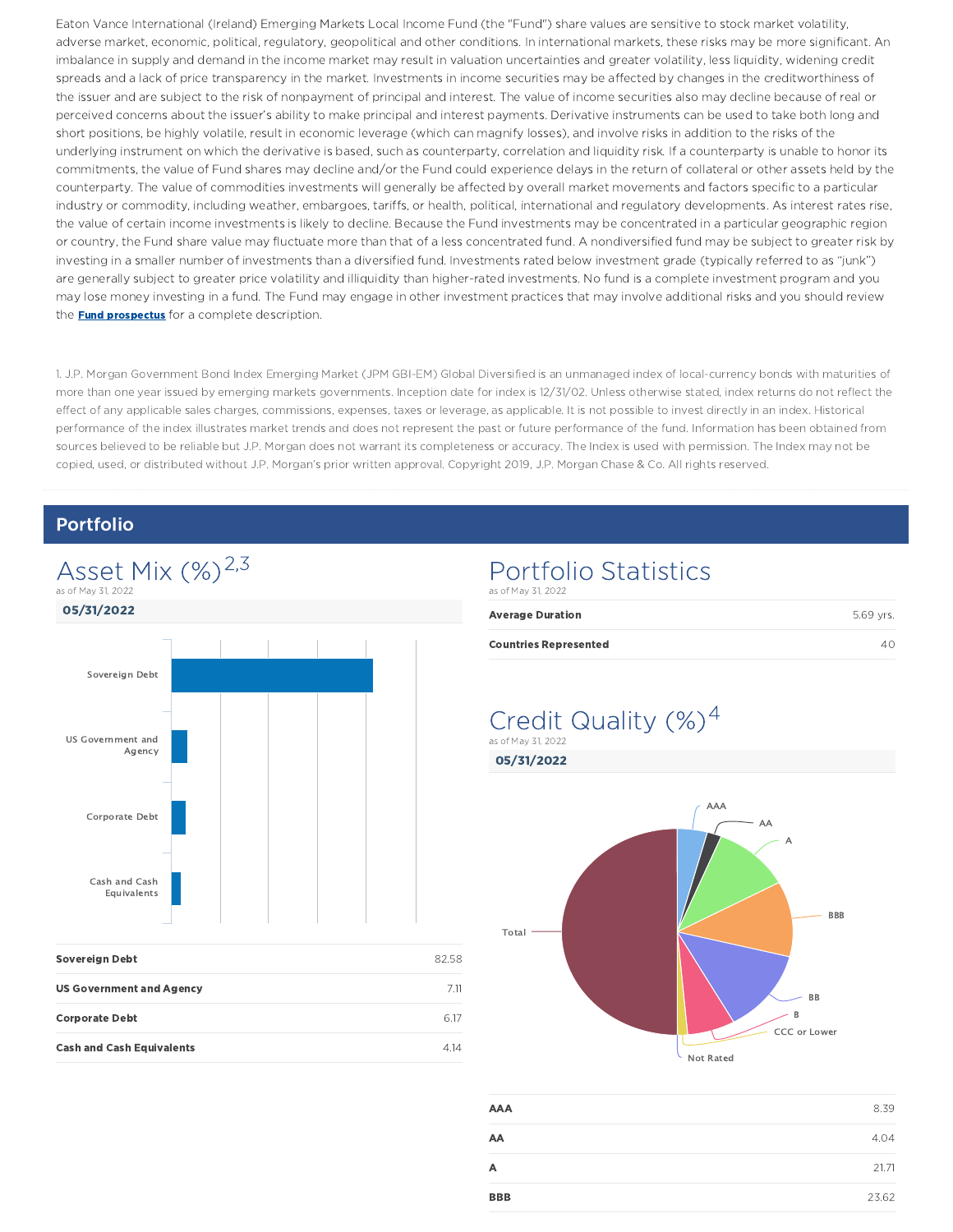Eaton Vance International (Ireland) Emerging Markets Local Income Fund (the "Fund") share values are sensitive to stock market volatility, adverse market, economic, political, regulatory, geopolitical and other conditions. In international markets, these risks may be more significant. An imbalance in supply and demand in the income market may result in valuation uncertainties and greater volatility, less liquidity, widening credit spreads and a lack of price transparency in the market. Investments in income securities may be affected by changes in the creditworthiness of the issuer and are subject to the risk of nonpayment of principal and interest. The value of income securities also may decline because of real or perceived concerns about the issuer's ability to make principal and interest payments. Derivative instruments can be used to take both long and short positions, be highly volatile, result in economic leverage (which can magnify losses), and involve risks in addition to the risks of the underlying instrument on which the derivative is based, such as counterparty, correlation and liquidity risk. If a counterparty is unable to honor its commitments, the value of Fund shares may decline and/or the Fund could experience delays in the return of collateral or other assets held by the counterparty. The value of commodities investments will generally be affected by overall market movements and factors specific to a particular industry or commodity, including weather, embargoes, tariffs, or health, political, international and regulatory developments. As interest rates rise, the value of certain income investments is likely to decline. Because the Fund investments may be concentrated in a particular geographic region or country, the Fund share value may fluctuate more than that of a less concentrated fund. A nondiversified fund may be subject to greater risk by investing in a smaller number of investments than a diversified fund. Investments rated below investment grade (typically referred to as "junk") are generally subject to greater price volatility and illiquidity than higher-rated investments. No fund is a complete investment program and you may lose money investing in a fund. The Fund may engage in other investment practices that may involve additional risks and you should review the **Fund prospectus** for a complete description.

1. J.P. Morgan Government Bond Index Emerging Market (JPM GBI-EM) Global Diversified is an unmanaged index of local-currency bonds with maturities of more than one year issued by emerging markets governments. Inception date for index is 12/31/02. Unless otherwise stated, index returns do not reflect the effect of any applicable sales charges, commissions, expenses, taxes or leverage, as applicable. It is not possible to invest directly in an index. Historical performance of the index illustrates market trends and does not represent the past or future performance of the fund. Information has been obtained from sources believed to be reliable but J.P. Morgan does not warrant its completeness or accuracy. The Index is used with permission. The Index may not be copied, used, or distributed without J.P. Morgan's prior written approval. Copyright 2019, J.P. Morgan Chase & Co. All rights reserved.

### Portfolio



| <b>Sovereign Debt</b>            | 82.58 |
|----------------------------------|-------|
| <b>US Government and Agency</b>  | 7 11  |
| <b>Corporate Debt</b>            | 617   |
| <b>Cash and Cash Equivalents</b> | 4 14  |

### Portfolio Statistics as of May 31, 2022

| <b>Average Duration</b>      | 5.69 vrs. |
|------------------------------|-----------|
| <b>Countries Represented</b> |           |

### Credit Quality  $(\%)^4$ as of May 31, 2022



| AAA        | 8.39  |
|------------|-------|
| AA         | 4.04  |
| A          | 21.71 |
| <b>BBB</b> | 23.62 |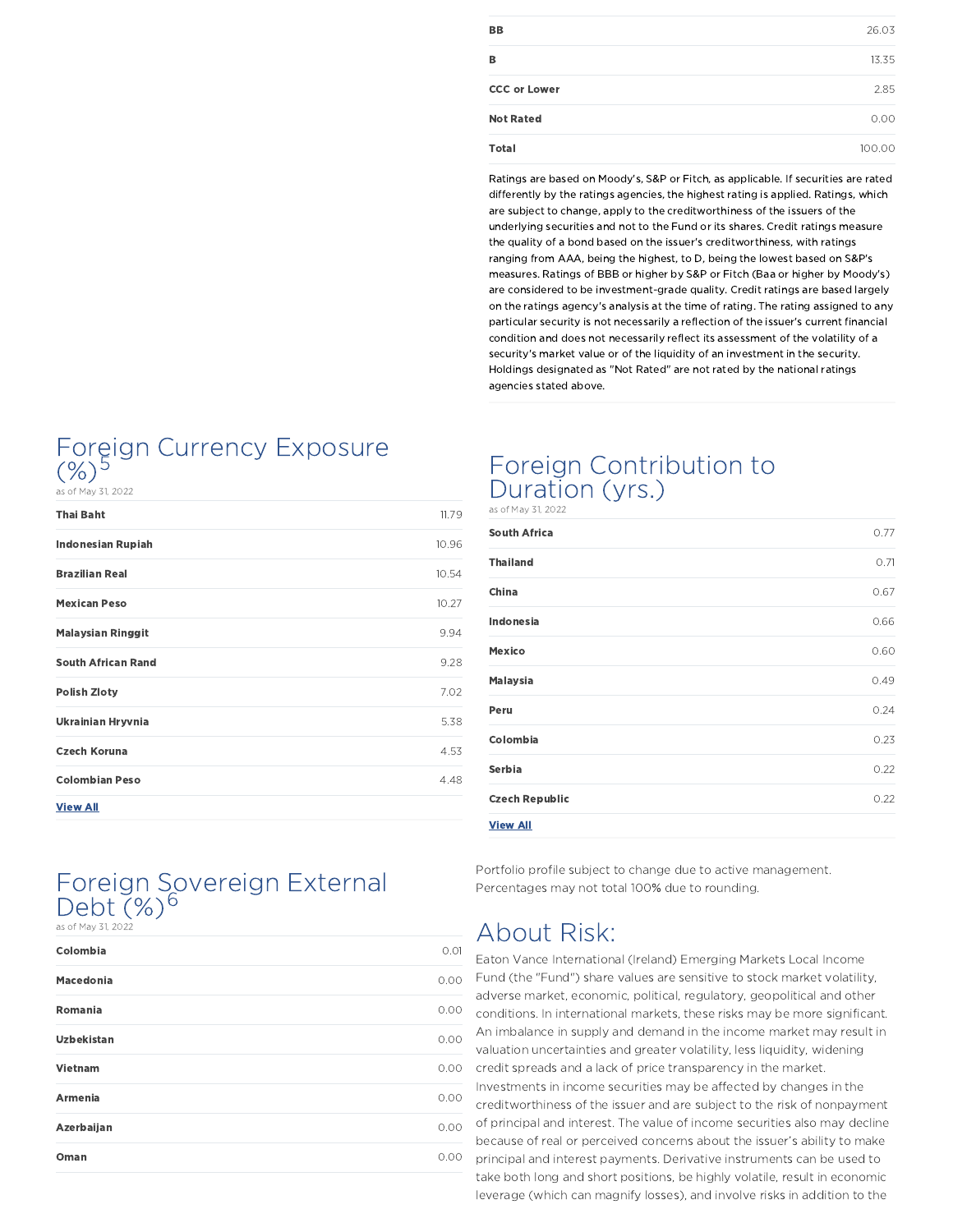| <b>BB</b>           | 26.03 |
|---------------------|-------|
| в                   | 13.35 |
| <b>CCC or Lower</b> | 2.85  |
| <b>Not Rated</b>    | 0.00  |
| <b>Total</b>        | 100.  |

Ratings are based on Moody's, S&P or Fitch, as applicable. If securities are rated differently by the ratings agencies, the highest rating is applied. Ratings, which are subject to change, apply to the creditworthiness of the issuers of the underlying securities and not to the Fund or its shares. Credit ratings measure the quality of a bond based on the issuer's creditworthiness, with ratings ranging from AAA, being the highest, to D, being the lowest based on S&P's measures. Ratings of BBB or higher by S&P or Fitch (Baa or higher by Moody's) are considered to be investment-grade quality. Credit ratings are based largely on the ratings agency's analysis at the time of rating. The rating assigned to any particular security is not necessarily a reflection of the issuer's current financial condition and does not necessarily reflect its assessment of the volatility of a security's market value or of the liquidity of an investment in the security. Holdings designated as "Not Rated" are not rated by the national ratings agencies stated above.

# Foreign Currency Exposure  $(\%)^{5}$

as of May 31, 2022

| <b>Thai Baht</b>          | 11.79 |
|---------------------------|-------|
| <b>Indonesian Rupiah</b>  | 10.96 |
| <b>Brazilian Real</b>     | 10.54 |
| <b>Mexican Peso</b>       | 10.27 |
| <b>Malaysian Ringgit</b>  | 9.94  |
| <b>South African Rand</b> | 9.28  |
| <b>Polish Zloty</b>       | 7.02  |
| Ukrainian Hryvnia         | 5.38  |
| <b>Czech Koruna</b>       | 4.53  |
| <b>Colombian Peso</b>     | 4.48  |
|                           |       |

View All

### Foreign Sovereign External Debt  $(\%)^6$ as of May 31, 2022

| Colombia          | 0.01 |
|-------------------|------|
| <b>Macedonia</b>  | 0.00 |
| Romania           | 0.00 |
| <b>Uzbekistan</b> | 0.00 |
| Vietnam           | 0.00 |
| <b>Armenia</b>    | 0.00 |
| Azerbaijan        | 0.00 |
| Oman              | 0.00 |

### Foreign Contribution to Duration (yrs.) as of May 31, 2022

| South Africa          | 0.77 |
|-----------------------|------|
| <b>Thailand</b>       | 0.71 |
| China                 | 0.67 |
| Indonesia             | 0.66 |
| Mexico                | 0.60 |
| <b>Malaysia</b>       | 0.49 |
| Peru                  | 0.24 |
| Colombia              | 0.23 |
| Serbia                | 0.22 |
| <b>Czech Republic</b> | 0.22 |
| <b>View All</b>       |      |

Portfolio profile subject to change due to active management. Percentages may not total 100% due to rounding.

# About Risk:

Eaton Vance International (Ireland) Emerging Markets Local Income Fund (the "Fund") share values are sensitive to stock market volatility, adverse market, economic, political, regulatory, geopolitical and other conditions. In international markets, these risks may be more significant. An imbalance in supply and demand in the income market may result in valuation uncertainties and greater volatility, less liquidity, widening credit spreads and a lack of price transparency in the market. Investments in income securities may be affected by changes in the creditworthiness of the issuer and are subject to the risk of nonpayment of principal and interest. The value of income securities also may decline because of real or perceived concerns about the issuer's ability to make principal and interest payments. Derivative instruments can be used to take both long and short positions, be highly volatile, result in economic leverage (which can magnify losses), and involve risks in addition to the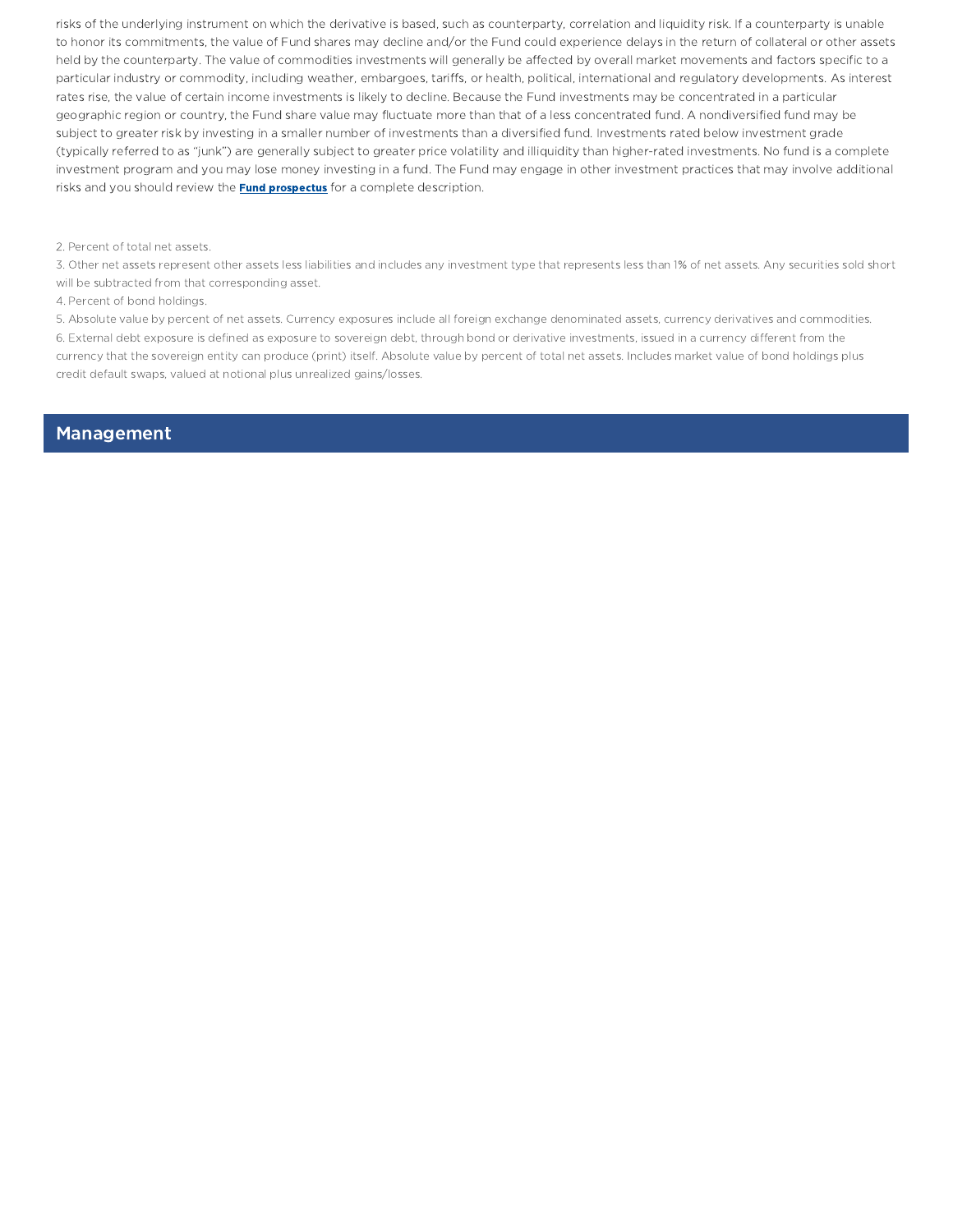risks of the underlying instrument on which the derivative is based, such as counterparty, correlation and liquidity risk. If a counterparty is unable to honor its commitments, the value of Fund shares may decline and/or the Fund could experience delays in the return of collateral or other assets held by the counterparty. The value of commodities investments will generally be affected by overall market movements and factors specific to a particular industry or commodity, including weather, embargoes, tariffs, or health, political, international and regulatory developments. As interest rates rise, the value of certain income investments is likely to decline. Because the Fund investments may be concentrated in a particular geographic region or country, the Fund share value may fluctuate more than that of a less concentrated fund. A nondiversified fund may be subject to greater risk by investing in a smaller number of investments than a diversified fund. Investments rated below investment grade (typically referred to as "junk") are generally subject to greater price volatility and illiquidity than higher-rated investments. No fund is a complete investment program and you may lose money investing in a fund. The Fund may engage in other investment practices that may involve additional risks and you should review the **Fund prospectus** for a complete description.

#### 2. Percent of total net assets.

3. Other net assets represent other assets less liabilities and includes any investment type that represents less than 1% of net assets. Any securities sold short will be subtracted from that corresponding asset.

4. Percent of bond holdings.

5. Absolute value by percent of net assets. Currency exposures include all foreign exchange denominated assets, currency derivatives and commodities. 6. External debt exposure is defined as exposure to sovereign debt, through bond or derivative investments, issued in a currency different from the currency that the sovereign entity can produce (print) itself. Absolute value by percent of total net assets. Includes market value of bond holdings plus credit default swaps, valued at notional plus unrealized gains/losses.

### Management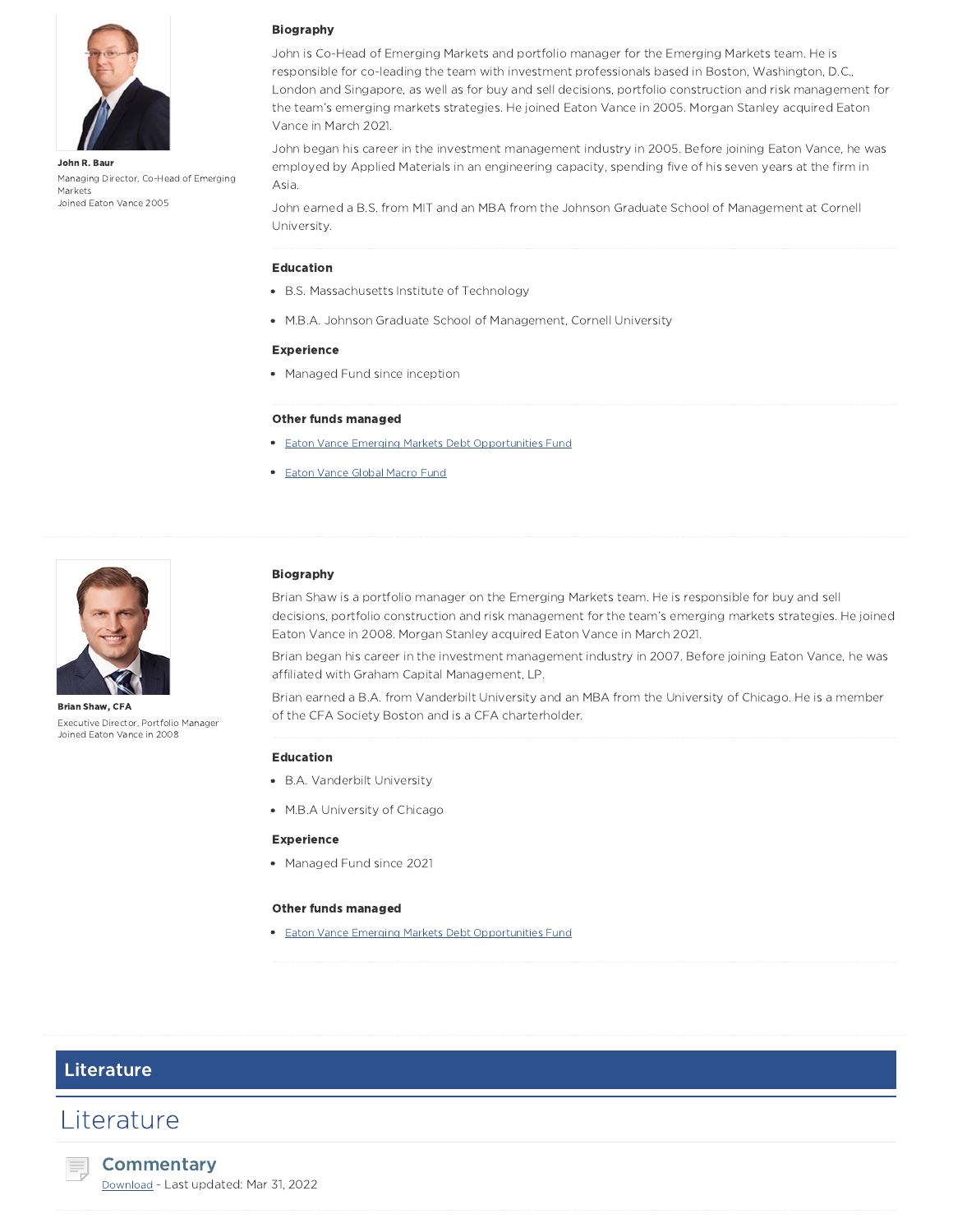

John R. Baur Managing Director, Co-Head of Emerging Markets Joined Eaton Vance 2005

#### Biography

John is Co-Head of Emerging Markets and portfolio manager for the Emerging Markets team. He is responsible for co-leading the team with investment professionals based in Boston, Washington, D.C., London and Singapore, as well as for buy and sell decisions, portfolio construction and risk management for the team's emerging markets strategies. He joined Eaton Vance in 2005. Morgan Stanley acquired Eaton Vance in March 2021.

John began his career in the investment management industry in 2005. Before joining Eaton Vance, he was employed by Applied Materials in an engineering capacity, spending five of his seven years at the firm in Asia.

John earned a B.S. from MIT and an MBA from the Johnson Graduate School of Management at Cornell University.

#### Education

- B.S. Massachusetts Institute of Technology
- M.B.A. Johnson Graduate School of Management, Cornell University

#### Experience

• Managed Fund since inception

#### Other funds managed

- **Eaton Vance Emerging Markets Debt Opportunities Fund**
- **Eaton Vance Global Macro Fund**



Brian Shaw, CFA Executive Director, Portfolio Manager Joined Eaton Vance in 2008

#### Biography

Brian Shaw is a portfolio manager on the Emerging Markets team. He is responsible for buy and sell decisions, portfolio construction and risk management for the team's emerging markets strategies. He joined Eaton Vance in 2008. Morgan Stanley acquired Eaton Vance in March 2021.

Brian began his career in the investment management industry in 2007. Before joining Eaton Vance, he was affiliated with Graham Capital Management, LP.

Brian earned a B.A. from Vanderbilt University and an MBA from the University of Chicago. He is a member of the CFA Society Boston and is a CFA charterholder.

#### Education

- B.A. Vanderbilt University
- M.B.A University of Chicago

#### Experience

• Managed Fund since 2021

#### Other funds managed

**Eaton Vance Emerging Markets Debt Opportunities Fund** 

### Literature

### **Literature**



Download - Last updated: Mar 31, 2022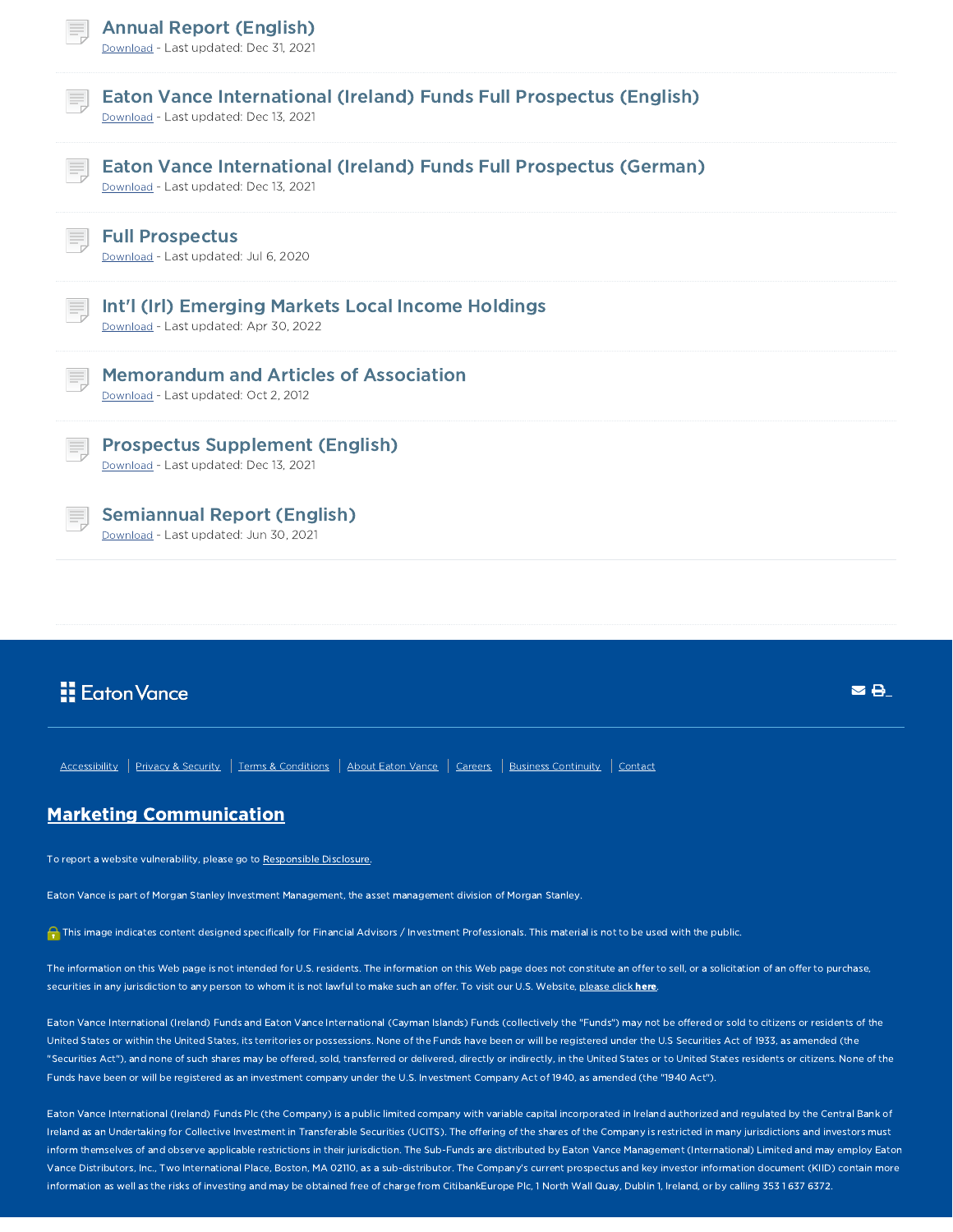|    | <b>Annual Report (English)</b><br>Download - Last updated: Dec 31, 2021                                             |
|----|---------------------------------------------------------------------------------------------------------------------|
|    | <b>Eaton Vance International (Ireland) Funds Full Prospectus (English)</b><br>Download - Last updated: Dec 13, 2021 |
| ≡  | Eaton Vance International (Ireland) Funds Full Prospectus (German)<br>Download - Last updated: Dec 13, 2021         |
|    | <b>Full Prospectus</b><br>Download - Last updated: Jul 6, 2020                                                      |
|    | Int'l (Irl) Emerging Markets Local Income Holdings<br>Download - Last updated: Apr 30, 2022                         |
| Ħ. | <b>Memorandum and Articles of Association</b><br>Download - Last updated: Oct 2, 2012                               |
|    | <b>Prospectus Supplement (English)</b><br>Download - Last updated: Dec 13, 2021                                     |
|    | <b>Semiannual Report (English)</b><br>Download - Last updated: Jun 30, 2021                                         |

## **E** Eaton Vance

Accessibility | Privacy & Security | Terms & Conditions | About Eaton Vance | Careers | Business Continuity | Contact

### Marketing Communication

To report a website vulnerability, please go to Responsible Disclosure.

Eaton Vance is part of Morgan Stanley Investment Management, the asset management division of Morgan Stanley.

This image indicates content designed specifically for Financial Advisors / Investment Professionals. This material is not to be used with the public.

The information on this Web page is not intended for U.S. residents. The information on this Web page does not constitute an offer to sell, or a solicitation of an offer to purchase, securities in any jurisdiction to any person to whom it is not lawful to make such an offer. To visit our U.S. Website, please click here.

**SA** 

Eaton Vance International (Ireland) Funds and Eaton Vance International (Cayman Islands) Funds (collectively the "Funds") may not be offered or sold to citizens or residents of the United States or within the United States, its territories or possessions. None of the Funds have been or will be registered under the U.S Securities Act of 1933, as amended (the "Securities Act"), and none of such shares may be offered, sold, transferred or delivered, directly or indirectly, in the United States or to United States residents or citizens. None of the Funds have been or will be registered as an investment company under the U.S. Investment Company Act of 1940, as amended (the "1940 Act").

Eaton Vance International (Ireland) Funds Plc (the Company) is a public limited company with variable capital incorporated in Ireland authorized and regulated by the Central Bank of Ireland as an Undertaking for Collective Investment in Transferable Securities (UCITS). The offering of the shares of the Company is restricted in many jurisdictions and investors must inform themselves of and observe applicable restrictions in their jurisdiction. The Sub-Funds are distributed by Eaton Vance Management (International) Limited and may employ Eaton Vance Distributors, Inc., Two International Place, Boston, MA 02110, as a sub-distributor. The Company's current prospectus and key investor information document (KIID) contain more information as well as the risks of investing and may be obtained free of charge from CitibankEurope Plc, 1 North Wall Quay, Dublin 1, Ireland, or by calling 353 1 637 6372.